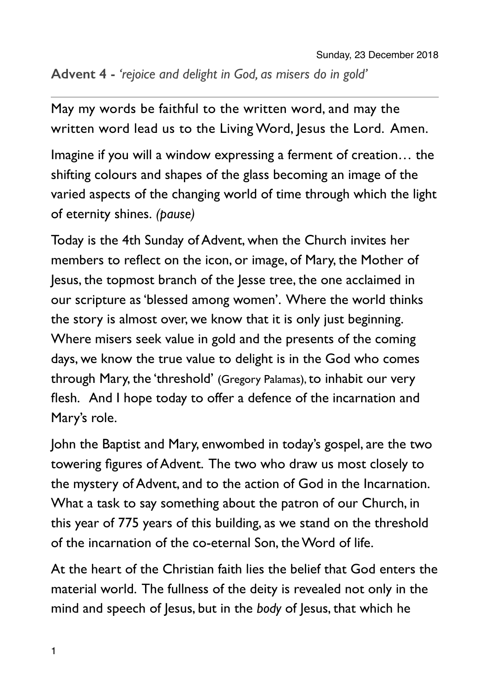## **Advent 4 -** *'rejoice and delight in God, as misers do in gold'*

May my words be faithful to the written word, and may the written word lead us to the Living Word, Jesus the Lord. Amen.

Imagine if you will a window expressing a ferment of creation… the shifting colours and shapes of the glass becoming an image of the varied aspects of the changing world of time through which the light of eternity shines. *(pause)*

Today is the 4th Sunday of Advent, when the Church invites her members to reflect on the icon, or image, of Mary, the Mother of Jesus, the topmost branch of the Jesse tree, the one acclaimed in our scripture as 'blessed among women'. Where the world thinks the story is almost over, we know that it is only just beginning. Where misers seek value in gold and the presents of the coming days, we know the true value to delight is in the God who comes through Mary, the 'threshold' (Gregory Palamas), to inhabit our very flesh. And I hope today to offer a defence of the incarnation and Mary's role.

John the Baptist and Mary, enwombed in today's gospel, are the two towering figures of Advent. The two who draw us most closely to the mystery of Advent, and to the action of God in the Incarnation. What a task to say something about the patron of our Church, in this year of 775 years of this building, as we stand on the threshold of the incarnation of the co-eternal Son, the Word of life.

At the heart of the Christian faith lies the belief that God enters the material world. The fullness of the deity is revealed not only in the mind and speech of Jesus, but in the *body* of Jesus, that which he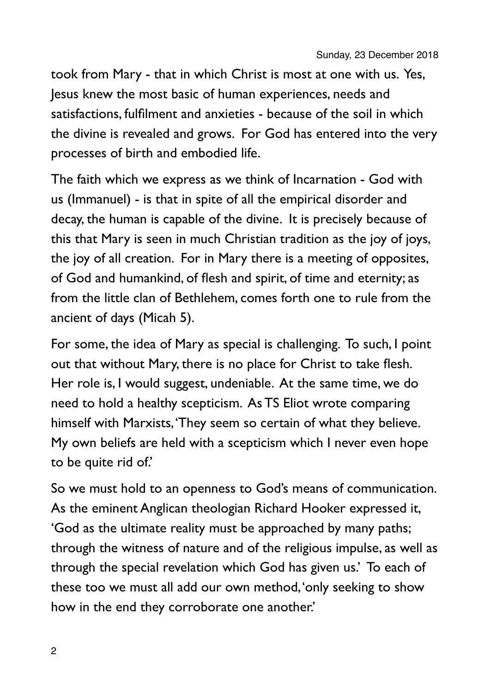took from Mary - that in which Christ is most at one with us. Yes, Jesus knew the most basic of human experiences, needs and satisfactions, fulfilment and anxieties - because of the soil in which the divine is revealed and grows. For God has entered into the very processes of birth and embodied life.

The faith which we express as we think of Incarnation - God with us (Immanuel) - is that in spite of all the empirical disorder and decay, the human is capable of the divine. It is precisely because of this that Mary is seen in much Christian tradition as the joy of joys, the joy of all creation. For in Mary there is a meeting of opposites, of God and humankind, of flesh and spirit, of time and eternity; as from the little clan of Bethlehem, comes forth one to rule from the ancient of days (Micah 5).

For some, the idea of Mary as special is challenging. To such, I point out that without Mary, there is no place for Christ to take flesh. Her role is, I would suggest, undeniable. At the same time, we do need to hold a healthy scepticism. As TS Eliot wrote comparing himself with Marxists, 'They seem so certain of what they believe. My own beliefs are held with a scepticism which I never even hope to be quite rid of.'

So we must hold to an openness to God's means of communication. As the eminent Anglican theologian Richard Hooker expressed it, 'God as the ultimate reality must be approached by many paths; through the witness of nature and of the religious impulse, as well as through the special revelation which God has given us.' To each of these too we must all add our own method, 'only seeking to show how in the end they corroborate one another.'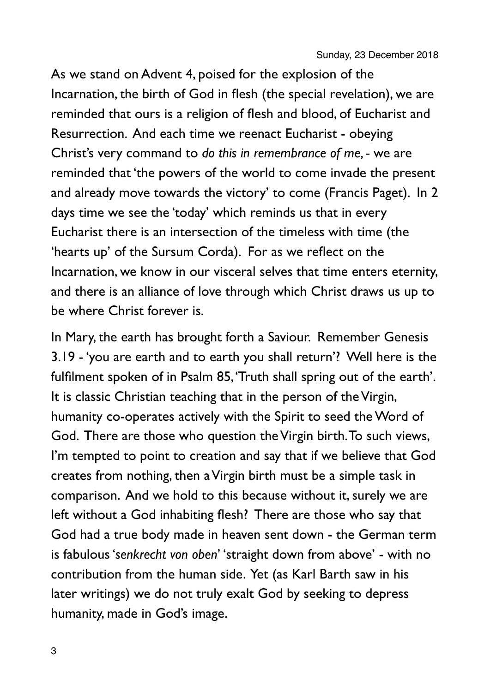As we stand on Advent 4, poised for the explosion of the Incarnation, the birth of God in flesh (the special revelation), we are reminded that ours is a religion of flesh and blood, of Eucharist and Resurrection. And each time we reenact Eucharist - obeying Christ's very command to *do this in remembrance of me, -* we are reminded that 'the powers of the world to come invade the present and already move towards the victory' to come (Francis Paget). In 2 days time we see the 'today' which reminds us that in every Eucharist there is an intersection of the timeless with time (the 'hearts up' of the Sursum Corda). For as we reflect on the Incarnation, we know in our visceral selves that time enters eternity, and there is an alliance of love through which Christ draws us up to be where Christ forever is.

In Mary, the earth has brought forth a Saviour. Remember Genesis 3.19 - 'you are earth and to earth you shall return'? Well here is the fulfilment spoken of in Psalm 85, 'Truth shall spring out of the earth'. It is classic Christian teaching that in the person of the Virgin, humanity co-operates actively with the Spirit to seed the Word of God. There are those who question the Virgin birth. To such views, I'm tempted to point to creation and say that if we believe that God creates from nothing, then a Virgin birth must be a simple task in comparison. And we hold to this because without it, surely we are left without a God inhabiting flesh? There are those who say that God had a true body made in heaven sent down - the German term is fabulous '*senkrecht von oben*' 'straight down from above' - with no contribution from the human side. Yet (as Karl Barth saw in his later writings) we do not truly exalt God by seeking to depress humanity, made in God's image.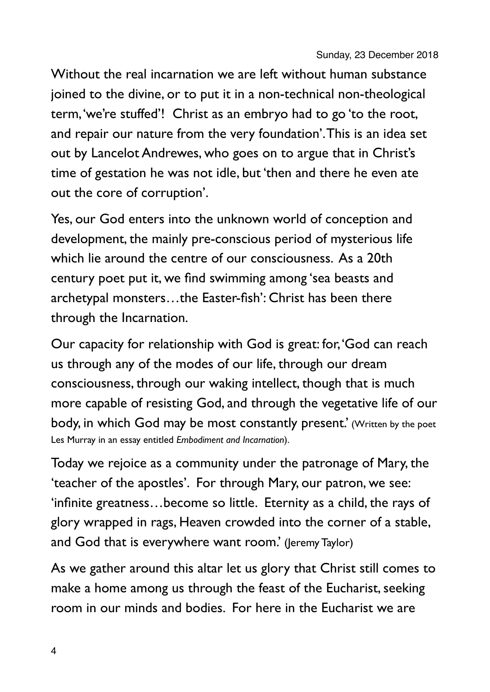Without the real incarnation we are left without human substance joined to the divine, or to put it in a non-technical non-theological term, 'we're stuffed'! Christ as an embryo had to go 'to the root, and repair our nature from the very foundation'. This is an idea set out by Lancelot Andrewes, who goes on to argue that in Christ's time of gestation he was not idle, but 'then and there he even ate out the core of corruption'.

Yes, our God enters into the unknown world of conception and development, the mainly pre-conscious period of mysterious life which lie around the centre of our consciousness. As a 20th century poet put it, we find swimming among 'sea beasts and archetypal monsters…the Easter-fish': Christ has been there through the Incarnation.

Our capacity for relationship with God is great: for, 'God can reach us through any of the modes of our life, through our dream consciousness, through our waking intellect, though that is much more capable of resisting God, and through the vegetative life of our body, in which God may be most constantly present.' (Written by the poet Les Murray in an essay entitled *Embodiment and Incarnation*).

Today we rejoice as a community under the patronage of Mary, the 'teacher of the apostles'. For through Mary, our patron, we see: 'infinite greatness…become so little. Eternity as a child, the rays of glory wrapped in rags, Heaven crowded into the corner of a stable, and God that is everywhere want room.' (Jeremy Taylor)

As we gather around this altar let us glory that Christ still comes to make a home among us through the feast of the Eucharist, seeking room in our minds and bodies. For here in the Eucharist we are